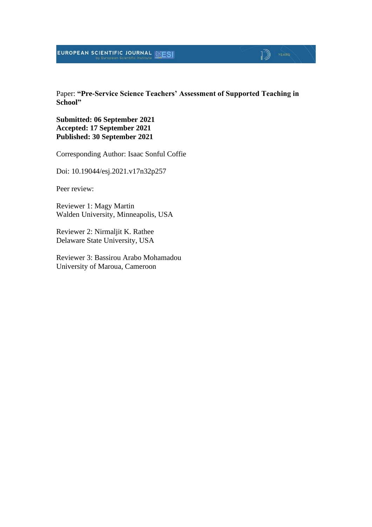#### EUROPEAN SCIENTIFIC JOURNAL ESI

Paper: **"Pre-Service Science Teachers' Assessment of Supported Teaching in School"**

 $\mathbb{D}$   $\mathbb{P}$   $\mathbb{P}$   $\mathbb{P}$   $\mathbb{P}$   $\mathbb{P}$   $\mathbb{P}$   $\mathbb{P}$   $\mathbb{P}$   $\mathbb{P}$   $\mathbb{P}$   $\mathbb{P}$   $\mathbb{P}$   $\mathbb{P}$   $\mathbb{P}$   $\mathbb{P}$   $\mathbb{P}$   $\mathbb{P}$   $\mathbb{P}$   $\mathbb{P}$   $\mathbb{P}$   $\mathbb{P}$   $\mathbb{P}$   $\mathbb{P}$   $\mathbb{$ 

**Submitted: 06 September 2021 Accepted: 17 September 2021 Published: 30 September 2021**

Corresponding Author: Isaac Sonful Coffie

Doi: 10.19044/esj.2021.v17n32p257

Peer review:

Reviewer 1: Magy Martin Walden University, Minneapolis, USA

Reviewer 2: Nirmaljit K. Rathee Delaware State University, USA

Reviewer 3: Bassirou Arabo Mohamadou University of Maroua, Cameroon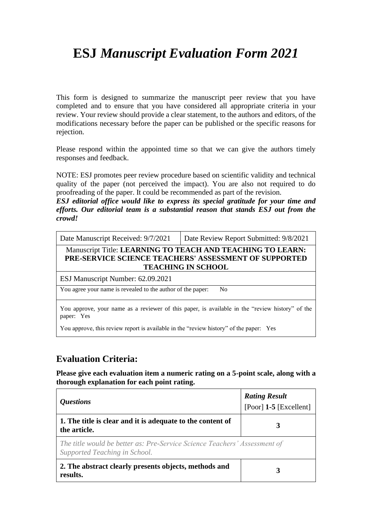# **ESJ** *Manuscript Evaluation Form 2021*

This form is designed to summarize the manuscript peer review that you have completed and to ensure that you have considered all appropriate criteria in your review. Your review should provide a clear statement, to the authors and editors, of the modifications necessary before the paper can be published or the specific reasons for rejection.

Please respond within the appointed time so that we can give the authors timely responses and feedback.

NOTE: ESJ promotes peer review procedure based on scientific validity and technical quality of the paper (not perceived the impact). You are also not required to do proofreading of the paper. It could be recommended as part of the revision.

*ESJ editorial office would like to express its special gratitude for your time and efforts. Our editorial team is a substantial reason that stands ESJ out from the crowd!*

| Date Manuscript Received: 9/7/2021                          | Date Review Report Submitted: 9/8/2021                                                                                                           |
|-------------------------------------------------------------|--------------------------------------------------------------------------------------------------------------------------------------------------|
|                                                             | Manuscript Title: LEARNING TO TEACH AND TEACHING TO LEARN:<br>PRE-SERVICE SCIENCE TEACHERS' ASSESSMENT OF SUPPORTED<br><b>TEACHING IN SCHOOL</b> |
| ESJ Manuscript Number: 62.09.2021                           |                                                                                                                                                  |
| You agree your name is revealed to the author of the paper: | N <sub>0</sub>                                                                                                                                   |

You approve, your name as a reviewer of this paper, is available in the "review history" of the paper: Yes

You approve, this review report is available in the "review history" of the paper: Yes

### **Evaluation Criteria:**

**Please give each evaluation item a numeric rating on a 5-point scale, along with a thorough explanation for each point rating.**

| <i><b>Questions</b></i>                                                                                    | <b>Rating Result</b><br>[Poor] $1-5$ [Excellent] |
|------------------------------------------------------------------------------------------------------------|--------------------------------------------------|
| 1. The title is clear and it is adequate to the content of<br>the article.                                 |                                                  |
| The title would be better as: Pre-Service Science Teachers' Assessment of<br>Supported Teaching in School. |                                                  |
| 2. The abstract clearly presents objects, methods and<br>results.                                          |                                                  |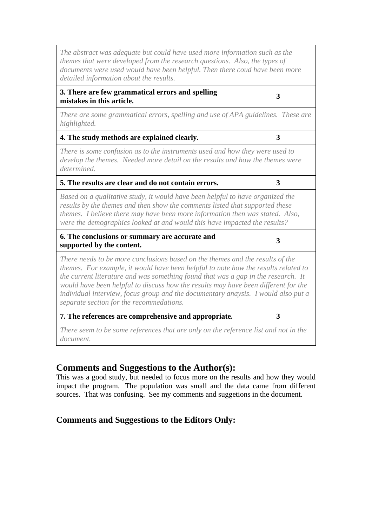| The abstract was adequate but could have used more information such as the<br>themes that were developed from the research questions. Also, the types of<br>documents were used would have been helpful. Then there coud have been more<br>detailed information about the results.                                                                                                                                                                                              |   |
|---------------------------------------------------------------------------------------------------------------------------------------------------------------------------------------------------------------------------------------------------------------------------------------------------------------------------------------------------------------------------------------------------------------------------------------------------------------------------------|---|
| 3. There are few grammatical errors and spelling<br>mistakes in this article.                                                                                                                                                                                                                                                                                                                                                                                                   | 3 |
| There are some grammatical errors, spelling and use of APA guidelines. These are<br>highlighted.                                                                                                                                                                                                                                                                                                                                                                                |   |
| 4. The study methods are explained clearly.                                                                                                                                                                                                                                                                                                                                                                                                                                     | 3 |
| There is some confusion as to the instruments used and how they were used to<br>develop the themes. Needed more detail on the results and how the themes were<br>determined.                                                                                                                                                                                                                                                                                                    |   |
| 5. The results are clear and do not contain errors.                                                                                                                                                                                                                                                                                                                                                                                                                             | 3 |
| Based on a qualitative study, it would have been helpful to have organized the<br>results by the themes and then show the comments listed that supported these<br>themes. I believe there may have been more information then was stated. Also,<br>were the demographics looked at and would this have impacted the results?                                                                                                                                                    |   |
| 6. The conclusions or summary are accurate and<br>supported by the content.                                                                                                                                                                                                                                                                                                                                                                                                     | 3 |
| There needs to be more conclusions based on the themes and the results of the<br>themes. For example, it would have been helpful to note how the results related to<br>the current literature and was something found that was a gap in the research. It<br>would have been helpful to discuss how the results may have been different for the<br>individual interview, focus group and the documentary anaysis. I would also put a<br>separate section for the recommedations. |   |
| 7. The references are comprehensive and appropriate.                                                                                                                                                                                                                                                                                                                                                                                                                            | 3 |
| There seem to be some references that are only on the reference list and not in the<br>document.                                                                                                                                                                                                                                                                                                                                                                                |   |

#### **Comments and Suggestions to the Author(s):**

This was a good study, but needed to focus more on the results and how they would impact the program. The population was small and the data came from different sources. That was confusing. See my comments and suggetions in the document.

#### **Comments and Suggestions to the Editors Only:**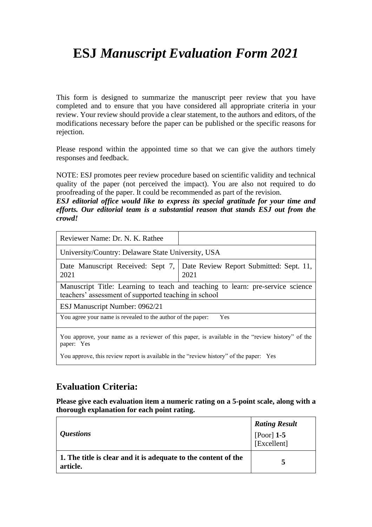# **ESJ** *Manuscript Evaluation Form 2021*

This form is designed to summarize the manuscript peer review that you have completed and to ensure that you have considered all appropriate criteria in your review. Your review should provide a clear statement, to the authors and editors, of the modifications necessary before the paper can be published or the specific reasons for rejection.

Please respond within the appointed time so that we can give the authors timely responses and feedback.

NOTE: ESJ promotes peer review procedure based on scientific validity and technical quality of the paper (not perceived the impact). You are also not required to do proofreading of the paper. It could be recommended as part of the revision.

*ESJ editorial office would like to express its special gratitude for your time and efforts. Our editorial team is a substantial reason that stands ESJ out from the crowd!*

| Reviewer Name: Dr. N. K. Rathee                                                                                                             |                                                                                                 |  |
|---------------------------------------------------------------------------------------------------------------------------------------------|-------------------------------------------------------------------------------------------------|--|
| University/Country: Delaware State University, USA                                                                                          |                                                                                                 |  |
| 2021                                                                                                                                        | Date Manuscript Received: Sept 7,   Date Review Report Submitted: Sept. 11,<br>2021             |  |
| Manuscript Title: Learning to teach and teaching to learn: pre-service science<br>teachers' assessment of supported teaching in school      |                                                                                                 |  |
| ESJ Manuscript Number: 0962/21                                                                                                              |                                                                                                 |  |
| You agree your name is revealed to the author of the paper:                                                                                 | Yes                                                                                             |  |
| paper: Yes                                                                                                                                  | You approve, your name as a reviewer of this paper, is available in the "review history" of the |  |
| $\mathbf{V}$ and $\mathbf{A}$ is the set of $\mathbf{A}$ is the set of $\mathbf{A}$ is the set of $\mathbf{A}$ is the set of $\mathbf{V}$ . |                                                                                                 |  |

You approve, this review report is available in the "review history" of the paper: Yes

### **Evaluation Criteria:**

**Please give each evaluation item a numeric rating on a 5-point scale, along with a thorough explanation for each point rating.**

| <i><b>Questions</b></i>                                                    | <b>Rating Result</b><br>[Poor] $1-5$<br>[Excellent] |
|----------------------------------------------------------------------------|-----------------------------------------------------|
| 1. The title is clear and it is adequate to the content of the<br>article. |                                                     |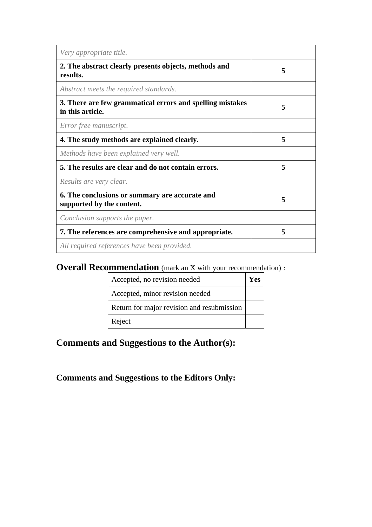| Very appropriate title.                                                       |   |
|-------------------------------------------------------------------------------|---|
| 2. The abstract clearly presents objects, methods and<br>results.             | 5 |
| Abstract meets the required standards.                                        |   |
| 3. There are few grammatical errors and spelling mistakes<br>in this article. | 5 |
| Error free manuscript.                                                        |   |
| 4. The study methods are explained clearly.                                   | 5 |
| Methods have been explained very well.                                        |   |
| 5. The results are clear and do not contain errors.                           | 5 |
| Results are very clear.                                                       |   |
| 6. The conclusions or summary are accurate and<br>supported by the content.   | 5 |
| Conclusion supports the paper.                                                |   |
| 7. The references are comprehensive and appropriate.                          | 5 |
| All required references have been provided.                                   |   |

## **Overall Recommendation** (mark an X with your recommendation):

| Accepted, no revision needed               | Y es |
|--------------------------------------------|------|
| Accepted, minor revision needed            |      |
| Return for major revision and resubmission |      |
| Reject                                     |      |

## **Comments and Suggestions to the Author(s):**

**Comments and Suggestions to the Editors Only:**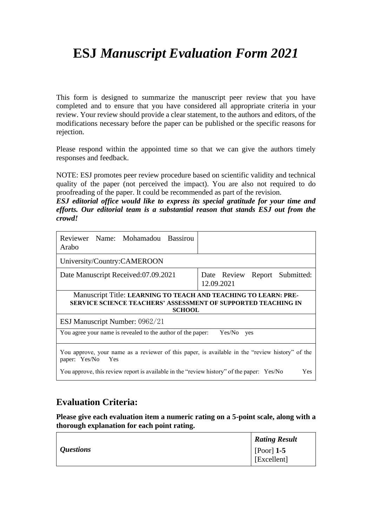# **ESJ** *Manuscript Evaluation Form 2021*

This form is designed to summarize the manuscript peer review that you have completed and to ensure that you have considered all appropriate criteria in your review. Your review should provide a clear statement, to the authors and editors, of the modifications necessary before the paper can be published or the specific reasons for rejection.

Please respond within the appointed time so that we can give the authors timely responses and feedback.

NOTE: ESJ promotes peer review procedure based on scientific validity and technical quality of the paper (not perceived the impact). You are also not required to do proofreading of the paper. It could be recommended as part of the revision.

*ESJ editorial office would like to express its special gratitude for your time and efforts. Our editorial team is a substantial reason that stands ESJ out from the crowd!*

| Reviewer Name: Mohamadou Bassirou<br>Arabo                                                                                                        |                                             |
|---------------------------------------------------------------------------------------------------------------------------------------------------|---------------------------------------------|
| University/Country:CAMEROON                                                                                                                       |                                             |
| Date Manuscript Received:07.09.2021                                                                                                               | Date Review Report Submitted:<br>12.09.2021 |
| Manuscript Title: LEARNING TO TEACH AND TEACHING TO LEARN: PRE-<br>SERVICE SCIENCE TEACHERS' ASSESSMENT OF SUPPORTED TEACHING IN<br><b>SCHOOL</b> |                                             |
| ESJ Manuscript Number: 0962/21                                                                                                                    |                                             |
| You agree your name is revealed to the author of the paper:                                                                                       | Yes/No<br>yes                               |
| You approve, your name as a reviewer of this paper, is available in the "review history" of the<br>paper: Yes/No<br>Yes                           |                                             |
| You approve, this review report is available in the "review history" of the paper: Yes/No                                                         | Yes                                         |

### **Evaluation Criteria:**

**Please give each evaluation item a numeric rating on a 5-point scale, along with a thorough explanation for each point rating.**

|                  | <b>Rating Result</b>        |
|------------------|-----------------------------|
| <i>Questions</i> | [Poor] $1-5$<br>[Excellent] |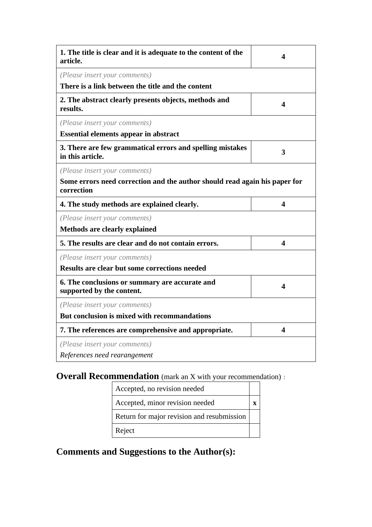| 1. The title is clear and it is adequate to the content of the<br>article.               | 4 |
|------------------------------------------------------------------------------------------|---|
| (Please insert your comments)                                                            |   |
| There is a link between the title and the content                                        |   |
| 2. The abstract clearly presents objects, methods and<br>results.                        | 4 |
| (Please insert your comments)                                                            |   |
| <b>Essential elements appear in abstract</b>                                             |   |
| 3. There are few grammatical errors and spelling mistakes<br>in this article.            | 3 |
| (Please insert your comments)                                                            |   |
| Some errors need correction and the author should read again his paper for<br>correction |   |
| 4. The study methods are explained clearly.                                              | 4 |
| (Please insert your comments)                                                            |   |
| <b>Methods are clearly explained</b>                                                     |   |
| 5. The results are clear and do not contain errors.                                      | 4 |
| (Please insert your comments)                                                            |   |
| Results are clear but some corrections needed                                            |   |
| 6. The conclusions or summary are accurate and<br>supported by the content.              | 4 |
| (Please insert your comments)                                                            |   |
| But conclusion is mixed with recommandations                                             |   |
| 7. The references are comprehensive and appropriate.                                     | 4 |
| (Please insert your comments)                                                            |   |
| References need rearangement                                                             |   |

## **Overall Recommendation** (mark an X with your recommendation):

| Accepted, no revision needed               |  |
|--------------------------------------------|--|
| Accepted, minor revision needed            |  |
| Return for major revision and resubmission |  |
| Reject                                     |  |

**Comments and Suggestions to the Author(s):**